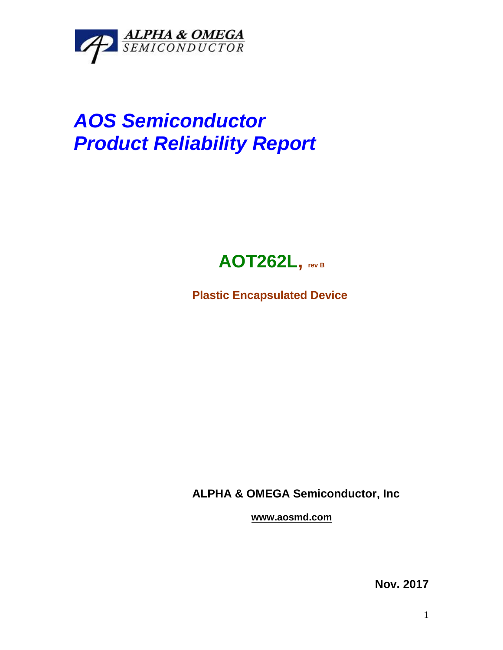

## *AOS Semiconductor Product Reliability Report*



**Plastic Encapsulated Device**

**ALPHA & OMEGA Semiconductor, Inc**

**www.aosmd.com**

**Nov. 2017**